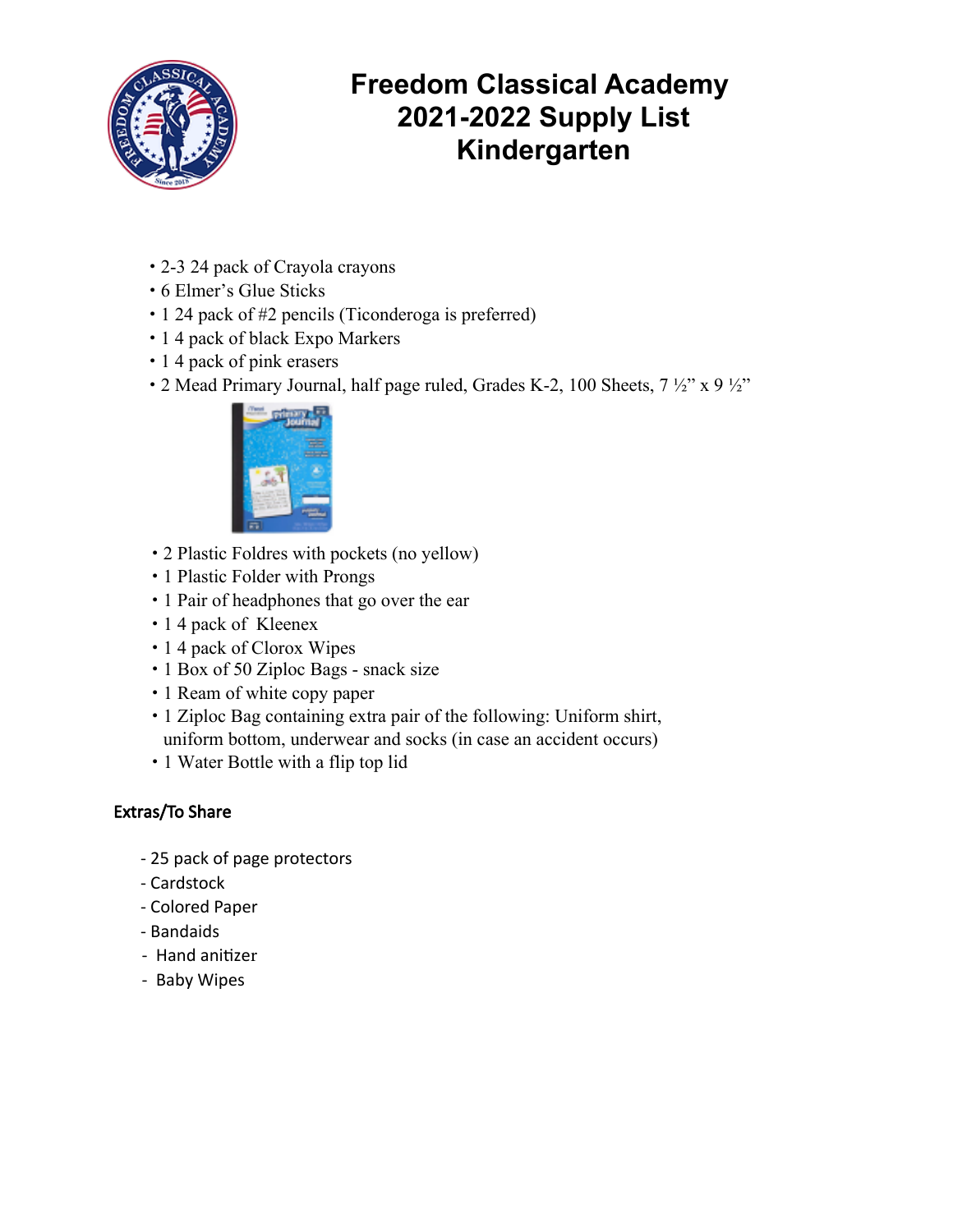

# **Freedom Classical Academy 2021-2022 Supply List Kindergarten**

- 2-3 24 pack of Crayola crayons
- 6 Elmer's Glue Sticks
- 1 24 pack of #2 pencils (Ticonderoga is preferred)
- 1 4 pack of black Expo Markers
- 1 4 pack of pink erasers
- 2 Mead Primary Journal, half page ruled, Grades K-2, 100 Sheets,  $7\frac{1}{2}$ " x 9  $\frac{1}{2}$ "



- 2 Plastic Foldres with pockets (no yellow)
- 1 Plastic Folder with Prongs
- 1 Pair of headphones that go over the ear
- 1 4 pack of Kleenex
- 1 4 pack of Clorox Wipes
- 1 Box of 50 Ziploc Bags snack size
- 1 Ream of white copy paper
- 1 Ziploc Bag containing extra pair of the following: Uniform shirt, uniform bottom, underwear and socks (in case an accident occurs)
- 1 Water Bottle with a flip top lid

#### Extras/To Share

- 25 pack of page protectors
- Cardstock
- Colored Paper
- Bandaids
- Hand anitizer
- Baby Wipes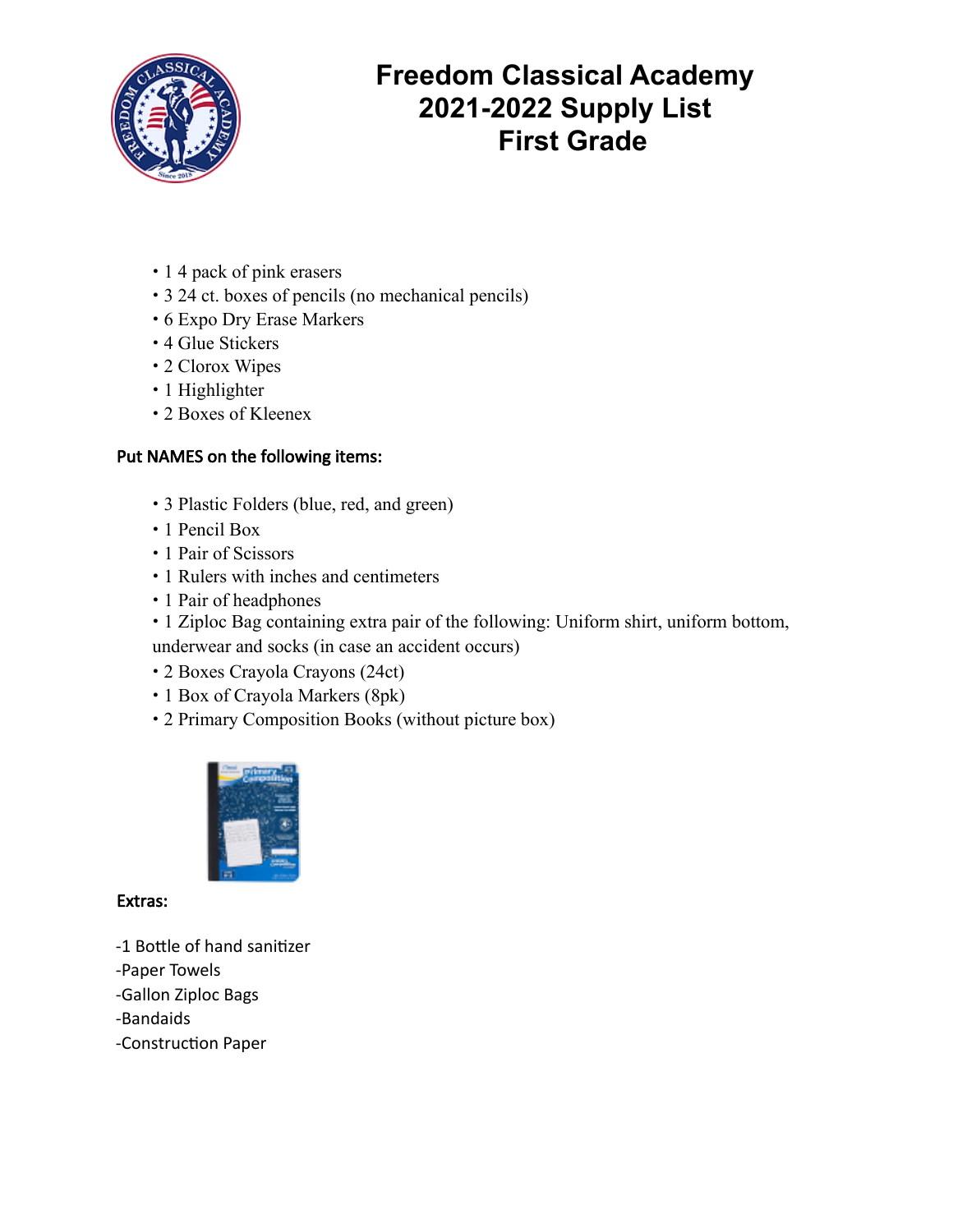

# **Freedom Classical Academy 2021-2022 Supply List First Grade**

- 1 4 pack of pink erasers
- 3 24 ct. boxes of pencils (no mechanical pencils)
- 6 Expo Dry Erase Markers
- 4 Glue Stickers
- 2 Clorox Wipes
- 1 Highlighter
- 2 Boxes of Kleenex

## Put NAMES on the following items:

- 3 Plastic Folders (blue, red, and green)
- 1 Pencil Box
- 1 Pair of Scissors
- 1 Rulers with inches and centimeters
- 1 Pair of headphones
- 1 Ziploc Bag containing extra pair of the following: Uniform shirt, uniform bottom,

underwear and socks (in case an accident occurs)

- 2 Boxes Crayola Crayons (24ct)
- 1 Box of Crayola Markers (8pk)
- 2 Primary Composition Books (without picture box)



#### Extras:

- -1 Bottle of hand sanitizer
- -Paper Towels
- -Gallon Ziploc Bags
- -Bandaids
- -Construction Paper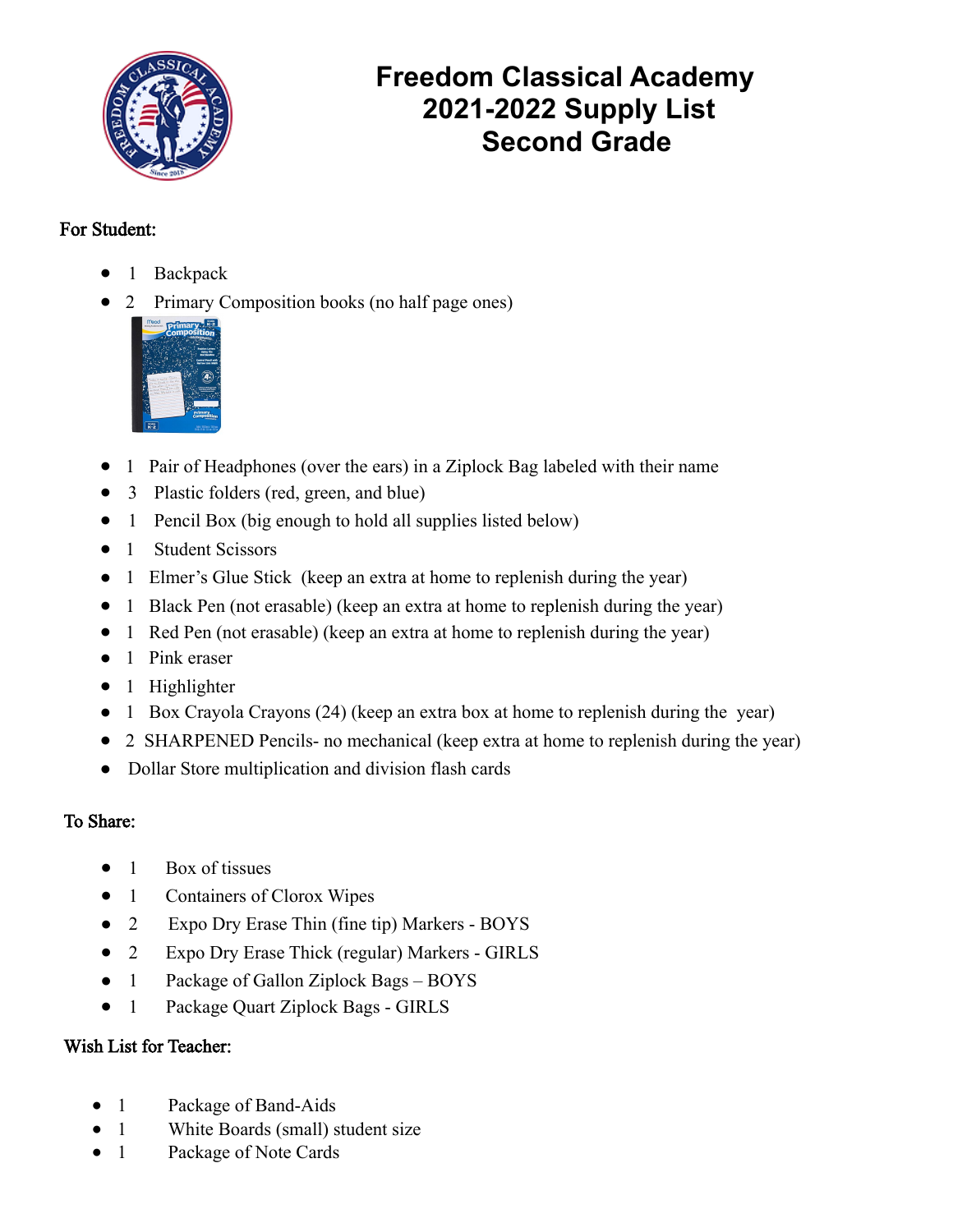

# **Freedom Classical Academy 2021-2022 Supply List Second Grade**

### For Student:

- 1 Backpack
- 2 Primary Composition books (no half page ones)



- 1 Pair of Headphones (over the ears) in a Ziplock Bag labeled with their name
- 3 Plastic folders (red, green, and blue)
- 1 Pencil Box (big enough to hold all supplies listed below)
- 1 Student Scissors
- 1 Elmer's Glue Stick (keep an extra at home to replenish during the year)
- 1 Black Pen (not erasable) (keep an extra at home to replenish during the year)
- 1 Red Pen (not erasable) (keep an extra at home to replenish during the year)
- 1 Pink eraser
- 1 Highlighter
- 1 Box Crayola Crayons (24) (keep an extra box at home to replenish during the year)
- 2 SHARPENED Pencils- no mechanical (keep extra at home to replenish during the year)
- Dollar Store multiplication and division flash cards

## To Share:

- 1 Box of tissues
- 1 Containers of Clorox Wipes
- 2 Expo Dry Erase Thin (fine tip) Markers BOYS
- 2 Expo Dry Erase Thick (regular) Markers GIRLS
- 1 Package of Gallon Ziplock Bags BOYS
- 1 Package Quart Ziplock Bags GIRLS

## Wish List for Teacher:

- 1 Package of Band-Aids
- 1 White Boards (small) student size
- 1 Package of Note Cards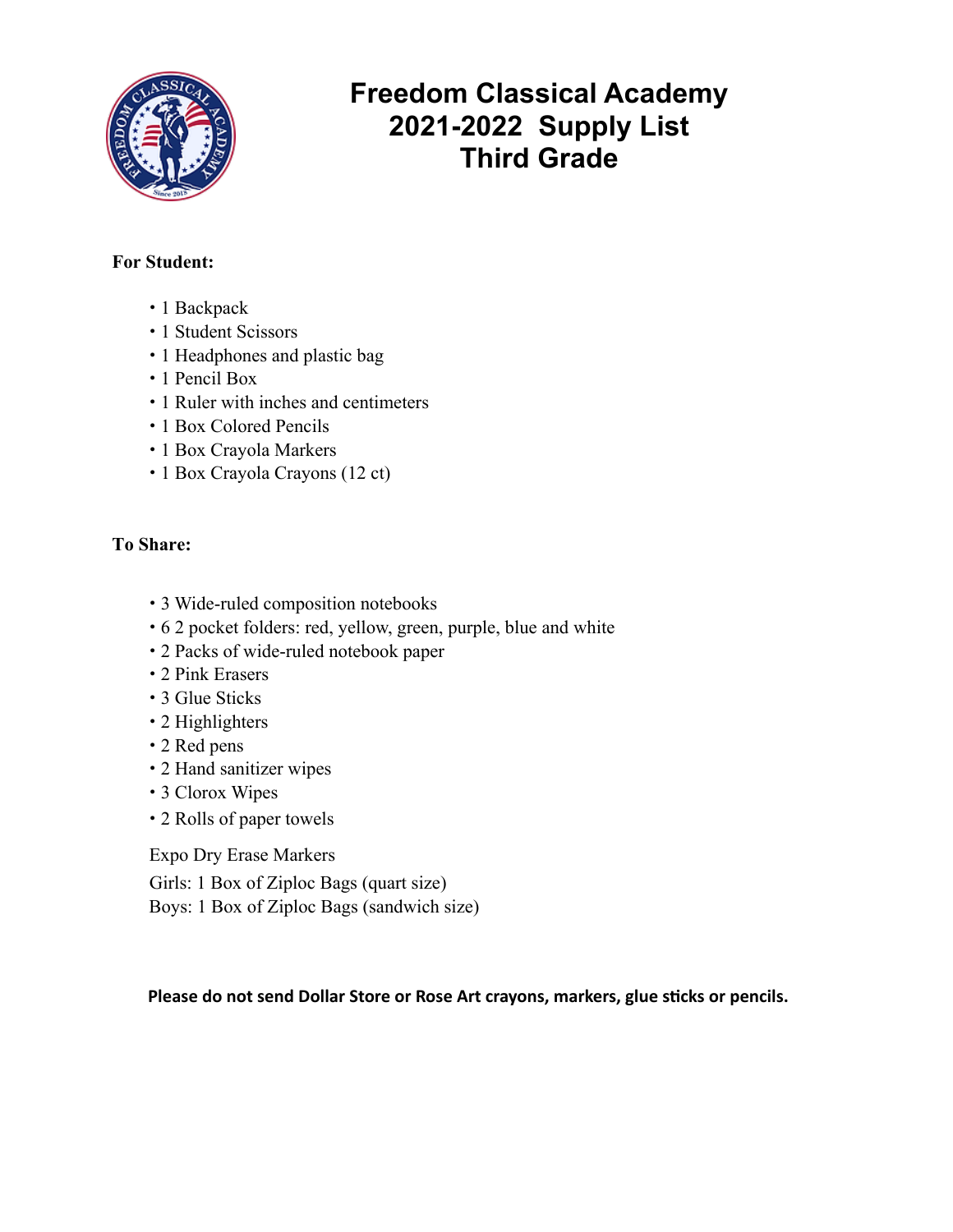

# **Freedom Classical Academy 2021-2022 Supply List Third Grade**

#### **For Student:**

- 1 Backpack
- 1 Student Scissors
- 1 Headphones and plastic bag
- 1 Pencil Box
- 1 Ruler with inches and centimeters
- 1 Box Colored Pencils
- 1 Box Crayola Markers
- 1 Box Crayola Crayons (12 ct)

#### **To Share:**

- 3 Wide-ruled composition notebooks
- 6 2 pocket folders: red, yellow, green, purple, blue and white
- 2 Packs of wide-ruled notebook paper
- 2 Pink Erasers
- 3 Glue Sticks
- 2 Highlighters
- 2 Red pens
- 2 Hand sanitizer wipes
- 3 Clorox Wipes
- 2 Rolls of paper towels

Expo Dry Erase Markers

Girls: 1 Box of Ziploc Bags (quart size) Boys: 1 Box of Ziploc Bags (sandwich size)

Please do not send Dollar Store or Rose Art crayons, markers, glue sticks or pencils.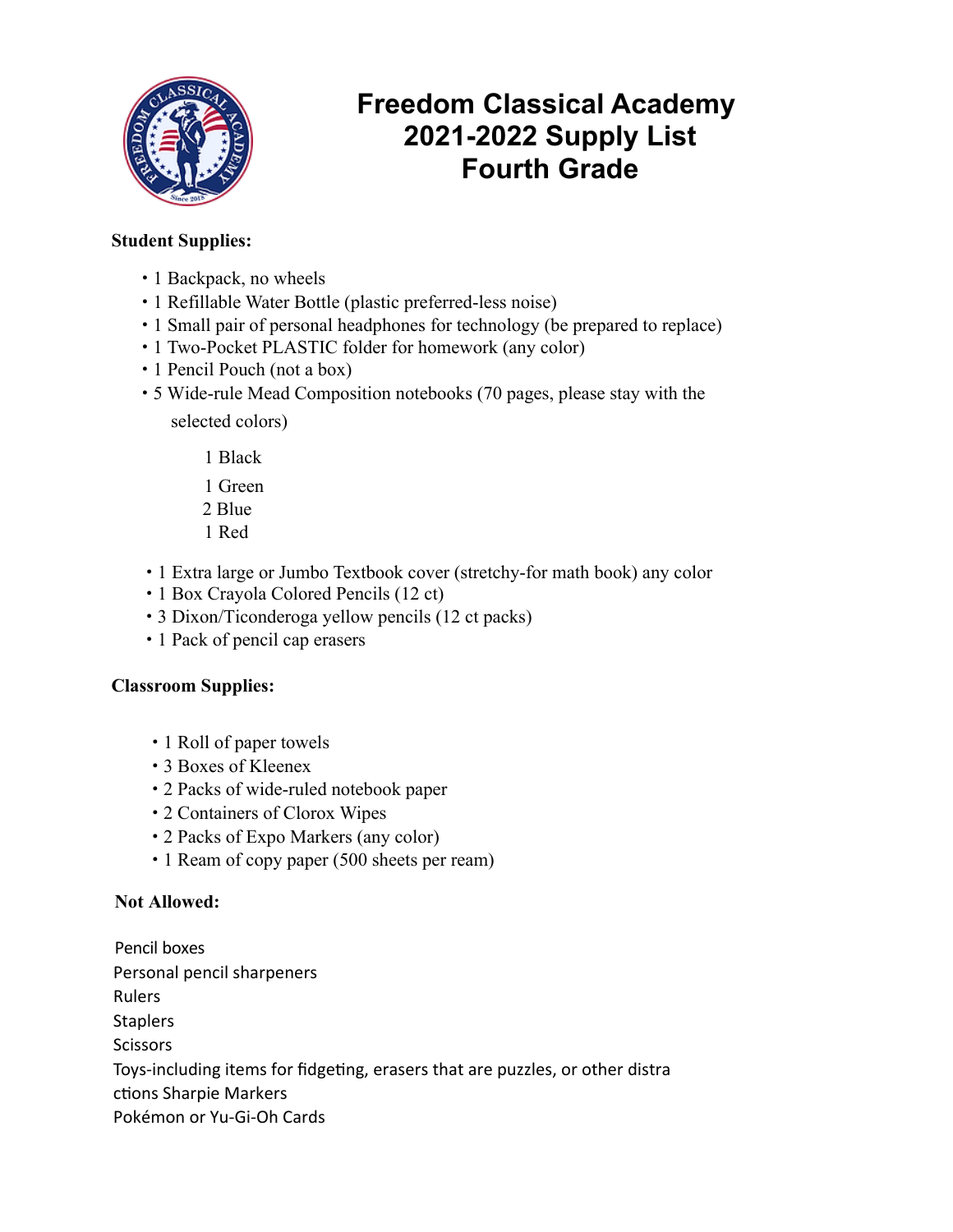

# **Freedom Classical Academy 2021-2022 Supply List Fourth Grade**

#### **Student Supplies:**

- 1 Backpack, no wheels
- 1 Refillable Water Bottle (plastic preferred-less noise)
- 1 Small pair of personal headphones for technology (be prepared to replace)
- 1 Two-Pocket PLASTIC folder for homework (any color)
- 1 Pencil Pouch (not a box)
- 5 Wide-rule Mead Composition notebooks (70 pages, please stay with the selected colors)
	- 1 Black
	- 1 Green
	- 2 Blue
	- 1 Red
- 1 Extra large or Jumbo Textbook cover (stretchy-for math book) any color
- 1 Box Crayola Colored Pencils (12 ct)
- 3 Dixon/Ticonderoga yellow pencils (12 ct packs)
- 1 Pack of pencil cap erasers

#### **Classroom Supplies:**

- 1 Roll of paper towels
- 3 Boxes of Kleenex
- 2 Packs of wide-ruled notebook paper
- 2 Containers of Clorox Wipes
- 2 Packs of Expo Markers (any color)
- 1 Ream of copy paper (500 sheets per ream)

#### **Not Allowed:**

Pencil boxes Personal pencil sharpeners Rulers **Staplers Scissors** Toys-including items for fidgeting, erasers that are puzzles, or other distra ctions Sharpie Markers Pokémon or Yu-Gi-Oh Cards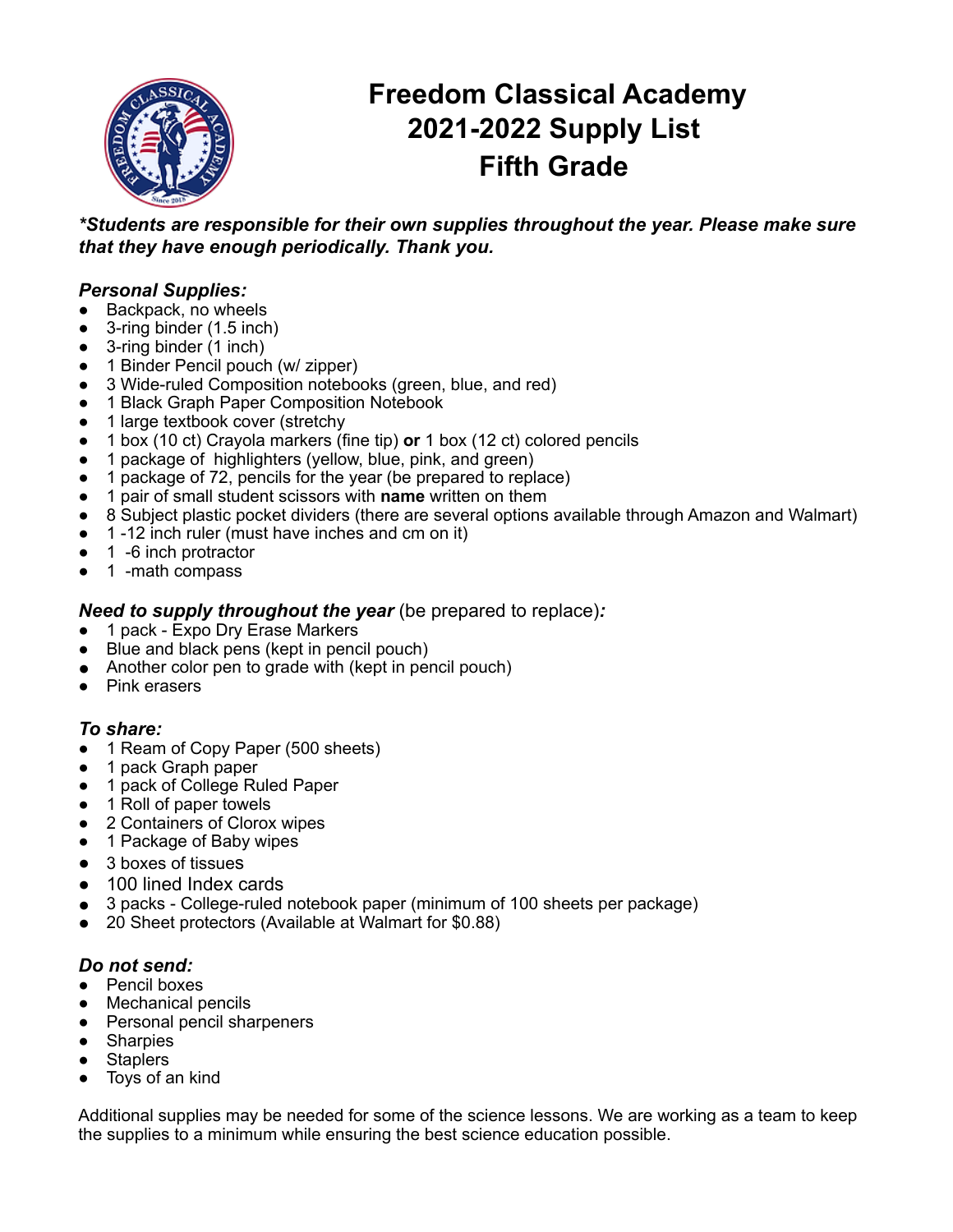

# **Freedom Classical Academy 2021-2022 Supply List Fifth Grade**

*\*Students are responsible for their own supplies throughout the year. Please make sure that they have enough periodically. Thank you.*

#### *Personal Supplies:*

- Backpack, no wheels
- 3-ring binder (1.5 inch)
- 3-ring binder (1 inch)
- 1 Binder Pencil pouch (w/ zipper)
- 3 Wide-ruled Composition notebooks (green, blue, and red)
- 1 Black Graph Paper Composition Notebook
- 1 large textbook cover (stretchy
- 1 box (10 ct) Crayola markers (fine tip) **or** 1 box (12 ct) colored pencils
- 1 package of highlighters (yellow, blue, pink, and green)
- 1 package of 72, pencils for the year (be prepared to replace)
- 1 pair of small student scissors with **name** written on them
- 8 Subject plastic pocket dividers (there are several options available through Amazon and Walmart)
- 1 -12 inch ruler (must have inches and cm on it)
- 1 -6 inch protractor
- 1 -math compass

#### *Need to supply throughout the year* (be prepared to replace)*:*

- 1 pack Expo Dry Erase Markers
- Blue and black pens (kept in pencil pouch)
- Another color pen to grade with (kept in pencil pouch)
- Pink erasers

#### *To share:*

- 1 Ream of Copy Paper (500 sheets)
- 1 pack Graph paper
- 1 pack of College Ruled Paper
- 1 Roll of paper towels
- 2 Containers of Clorox wipes
- 1 Package of Baby wipes
- 3 boxes of tissues
- 100 lined Index cards
- 3 packs College-ruled notebook paper (minimum of 100 sheets per package)
- 20 Sheet protectors (Available at Walmart for \$0.88)

#### *Do not send:*

- Pencil boxes
- Mechanical pencils
- Personal pencil sharpeners
- Sharpies
- **Staplers**
- Toys of an kind

Additional supplies may be needed for some of the science lessons. We are working as a team to keep the supplies to a minimum while ensuring the best science education possible.